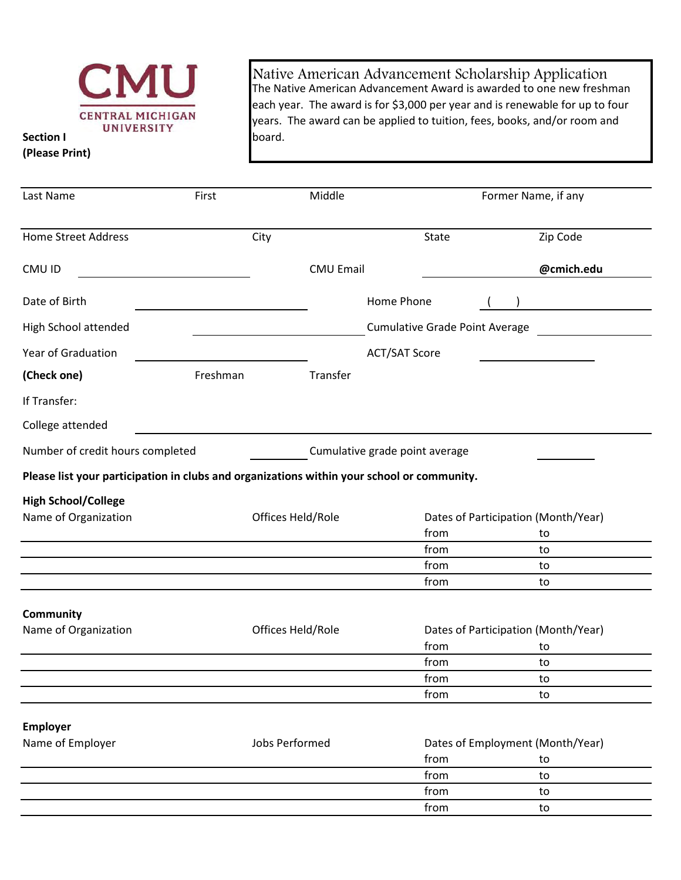

**Section I (Please Print)**

Native American Advancement Scholarship Application The Native American Advancement Award is awarded to one new freshman each year. The award is for \$3,000 per year and is renewable for up to four years. The award can be applied to tuition, fees, books, and/or room and board.

| Last Name                                                                                  | First    | Middle            |                                       | Former Name, if any                 |
|--------------------------------------------------------------------------------------------|----------|-------------------|---------------------------------------|-------------------------------------|
| <b>Home Street Address</b>                                                                 |          | City              | <b>State</b>                          | Zip Code                            |
| CMU ID                                                                                     |          | <b>CMU Email</b>  |                                       | @cmich.edu                          |
| Date of Birth                                                                              |          |                   | Home Phone                            |                                     |
| High School attended                                                                       |          |                   | <b>Cumulative Grade Point Average</b> |                                     |
| <b>Year of Graduation</b>                                                                  |          |                   | <b>ACT/SAT Score</b>                  |                                     |
| (Check one)                                                                                | Freshman | Transfer          |                                       |                                     |
| If Transfer:                                                                               |          |                   |                                       |                                     |
| College attended                                                                           |          |                   |                                       |                                     |
| Number of credit hours completed                                                           |          |                   | Cumulative grade point average        |                                     |
| Please list your participation in clubs and organizations within your school or community. |          |                   |                                       |                                     |
| <b>High School/College</b>                                                                 |          |                   |                                       |                                     |
| Name of Organization                                                                       |          | Offices Held/Role |                                       | Dates of Participation (Month/Year) |
|                                                                                            |          |                   | from                                  | to                                  |
|                                                                                            |          |                   | from                                  | to                                  |
|                                                                                            |          |                   | from                                  | to                                  |
|                                                                                            |          |                   | from                                  | to                                  |
| <b>Community</b>                                                                           |          |                   |                                       |                                     |
| Name of Organization                                                                       |          | Offices Held/Role |                                       | Dates of Participation (Month/Year) |
|                                                                                            |          |                   | from                                  | to                                  |
|                                                                                            |          |                   | from                                  | to                                  |
|                                                                                            |          |                   | from                                  | το                                  |
|                                                                                            |          |                   | from                                  | to                                  |
| <b>Employer</b>                                                                            |          |                   |                                       |                                     |
| Name of Employer                                                                           |          | Jobs Performed    |                                       | Dates of Employment (Month/Year)    |
|                                                                                            |          |                   | from                                  | to                                  |
|                                                                                            |          |                   | from                                  | to                                  |
|                                                                                            |          |                   | from                                  | to                                  |
|                                                                                            |          |                   | from                                  | to                                  |